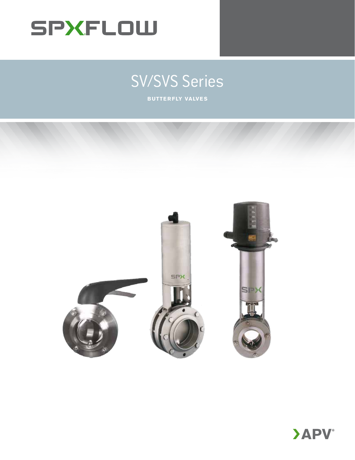

# SV/SVS Series

**BUTTERFLY VALVES** 



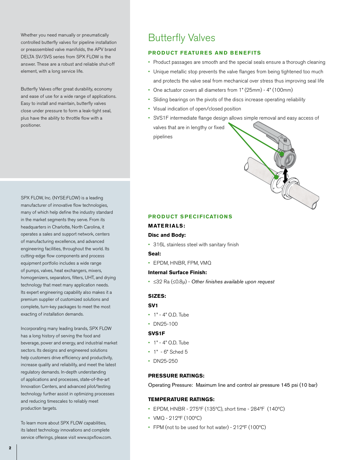Whether you need manually or pneumatically controlled butterfly valves for pipeline installation or preassembled valve manifolds, the APV brand DELTA SV/SVS series from SPX FLOW is the answer. These are a robust and reliable shut-off element, with a long service life.

Butterfly Valves offer great durability, economy and ease of use for a wide range of applications. Easy to install and maintain, butterfly valves close under pressure to form a leak-tight seal, plus have the ability to throttle flow with a positioner.

# Butterfly Valves

# **PRODUCT FEATURES AND BENEFITS**

- Product passages are smooth and the special seals ensure a thorough cleaning
- Unique metallic stop prevents the valve flanges from being tightened too much and protects the valve seal from mechanical over stress thus improving seal life
- One actuator covers all diameters from 1" (25mm) 4" (100mm)
- Sliding bearings on the pivots of the discs increase operating reliability
- Visual indication of open/closed position
- SVS1F intermediate flange design allows simple removal and easy access of valves that are in lengthy or fixed pipelines

SPX FLOW, Inc. (NYSE:FLOW) is a leading manufacturer of innovative flow technologies, many of which help define the industry standard in the market segments they serve. From its headquarters in Charlotte, North Carolina, it operates a sales and support network, centers of manufacturing excellence, and advanced engineering facilities, throughout the world. Its cutting-edge flow components and process equipment portfolio includes a wide range of pumps, valves, heat exchangers, mixers, homogenizers, separators, filters, UHT, and drying technology that meet many application needs. Its expert engineering capability also makes it a premium supplier of customized solutions and complete, turn-key packages to meet the most exacting of installation demands.

Incorporating many leading brands, SPX FLOW has a long history of serving the food and beverage, power and energy, and industrial market sectors. Its designs and engineered solutions help customers drive efficiency and productivity, increase quality and reliability, and meet the latest regulatory demands. In-depth understanding of applications and processes, state-of-the-art Innovation Centers, and advanced pilot/testing technology further assist in optimizing processes and reducing timescales to reliably meet production targets.

To learn more about SPX FLOW capabilities, its latest technology innovations and complete service offerings, please visit www.spxflow.com.

# **PRODUCT SPECIFICATIONS**

#### **MATERIALS:**

#### **Disc and Body:**

• 316L stainless steel with sanitary finish

#### **Seal:**

• EPDM, HNBR, FPM, VMQ

### **Internal Surface Finish:**

• ≤32 Ra (≤0.8µ) - *Other finishes available upon request*

#### **SIZES:**

#### **SV1**

- 1" 4" O.D. Tube
- DN25-100

#### **SVS1F**

- 1" 4" O.D. Tube
- 1" 6" Sched 5
- DN25-250

#### **PRESSURE RATINGS:**

Operating Pressure: Maximum line and control air pressure 145 psi (10 bar)

# **TEMPERATURE RATINGS:**

- EPDM, HNBR 275ºF (135ºC), short time 284ºF (140ºC)
- VMQ 212ºF (100ºC)
- FPM (not to be used for hot water) 212ºF (100ºC)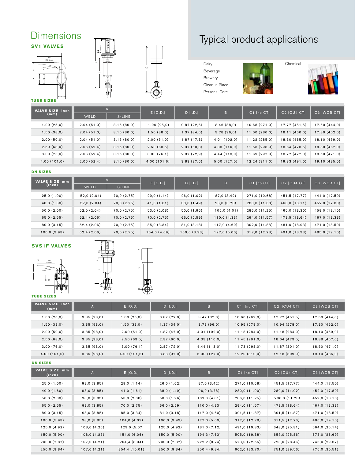# **SV1 VALVES Dimensions**







# Typical product applications

Dairy Beverage Brewery Clean in Place Personal Care







**TUBE SIZES**

| <b>VALVE SIZE inch</b><br>(mm) | $\mathsf{A}$ |            | $E$ [O.D.]  | $D$ [I.D.]  | B           | $C1$ $[no CTI]$ | C <sub>2</sub> [C <sub>U</sub> 4 C <sub>T</sub> ] | C3 [WCB CT]   |
|--------------------------------|--------------|------------|-------------|-------------|-------------|-----------------|---------------------------------------------------|---------------|
|                                | WELD         | S-LINE     |             |             |             |                 |                                                   |               |
| 1.00(25,0)                     | 2.04(51,0)   | 3.15(80,0) | 1.00(25,0)  | 0.87(22,6)  | 3.46(88,0)  | 10.68(271,0)    | 17.77 (451,5)                                     | 17.50(444,0)  |
| 1.50(38,0)                     | 2.04(51,0)   | 3.15(80,0) | 1.50(38,0)  | 1.37(34,6)  | 3.78(96,0)  | 11.00(280,0)    | 18.11(460,0)                                      | 17.80 (452,0) |
| 2.00(50,0)                     | 2.04(51,0)   | 3.15(80,0) | 2.00(51,0)  | 1.87 (47,8) | 4.01(102,0) | 11.22(285,0)    | 18.30 (465,0)                                     | 18.10 (459,0) |
| 2.50(63,0)                     | 2.06(52,4)   | 3.15(80,0) | 2.50(63,5)  | 2.37(60,3)  | 4.33(110,0) | 11.53(293,0)    | 18.64 (473,5)                                     | 18.38 (467,0) |
| 3.00(76,0)                     | 2.06(52,4)   | 3.15(80,0) | 3.00(76,1)  | 2.87(72,9)  | 4.44(113,0) | 11.69 (297,0)   | 18.77 (477,0)                                     | 18.50 (471,0) |
| 4.00(101,0)                    | 2.06(52,4)   | 3.15(80,0) | 4.00(101,6) | 3.83(97,6)  | 5.00(127,0) | 12.24(311,0)    | 19.33(491,0)                                      | 19.10 (485,0) |

#### **DN SIZES**

| VALVE SIZE mm<br>(inch) | A          |            | $E$ [O.D.]  | $D$ [I.D.]   | B            | $C1$ [no $CT$ ] | C <sub>2</sub> [C <sub>U</sub> 4 C <sub>T</sub> ] | C3 [WCB CT]   |
|-------------------------|------------|------------|-------------|--------------|--------------|-----------------|---------------------------------------------------|---------------|
|                         | WELD       | S-LINE     |             |              |              |                 |                                                   |               |
|                         |            |            |             |              |              |                 |                                                   |               |
| 25,0(1.00)              | 52,0(2.04) | 70,0(2.75) | 29,0(1.14)  | 26,0(1.02)   | 87,0 (3.42)  | 271,0 (10.68)   | 451.5 (17.77)                                     | 444,0 (17.50) |
| 40,0(1.60)              | 52,0(2.04) | 70,0(2.75) | 41,0(1.61)  | 38,0(1.49)   | 96,0(3.78)   | 280,0 (11.00)   | 460,0 (18.11)                                     | 452,0 (17.80) |
|                         |            |            |             |              |              |                 |                                                   |               |
| 50,0(2.00)              | 52,0(2.04) | 70,0(2.75) | 53,0(2.08)  | 50,0(1.96)   | 102,0(4.01)  | 286,0 (11.25)   | 465,0 (18.30)                                     | 459,0 (18.10) |
| 65,0 (2.55)             | 52.4(2.06) | 70,0(2.75) | 70,0(2.75)  | 66,0 (2.59)  | 110,0(4.33)  | 294,0 (11.57)   | 473.5 (18.64)                                     | 467,0 (18.38) |
| 80,0(3.15)              | 52.4(2.06) | 70,0(2.75) | 85,0 (3.34) | 81,0(3.18)   | 117,0 (4.60) | 302,0 (11.88)   | 481,0 (18.93)                                     | 471,0 (18.50) |
| 100,0(3.93)             | 52.4(2.06) | 70,0(2.75) | 104,0(4.09) | 100, 0(3.93) | 127,0(5.00)  | 312,0 (12.28)   | 491,0 (18.93)                                     | 485,0 (19.10) |

# **SVS1F VALVES**



A





**TUBE SIZES**

| <b>VALVE SIZE</b><br>inch I<br>(mm) | $\mathsf{A}$ | E[O.D.]     | $D$ [I.D.] | B           | $C1$ [no $CT$ ] | C <sub>2</sub> [CU <sub>4</sub> C <sub>T</sub> ] | C3 [WCB CT]   |
|-------------------------------------|--------------|-------------|------------|-------------|-----------------|--------------------------------------------------|---------------|
| 1.00(25,0)                          | 3.85(98,0)   | 1.00(25,0)  | 0.87(22,0) | 3.42(87,0)  | 10.60(269,0)    | 17.77 (451,5)                                    | 17.50(444,0)  |
| 1.50(38,0)                          | 3.85(98,0)   | 1.50(38,0)  | 1.37(34,0) | 3.78(96,0)  | 10.95(278,0)    | 10.94(278,0)                                     | 17.80(452,0)  |
| 2.00(50,0)                          | 3.85(98,0)   | 2.00(51,0)  | 1.87(47,0) | 4.01(102,0) | 11.18(284,0)    | 11.18(284,0)                                     | 18.10 (459,0) |
| 2.50(63,0)                          | 3.85(98,0)   | 2.50(63,5)  | 2.37(60,0) | 4.33(110,0) | 11.45(291,0)    | 18.64 (473,5)                                    | 18.38 (467,0) |
| 3.00(76,0)                          | 3.85(98,0)   | 3.00(76,1)  | 2.87(72,0) | 4.44(113,0) | 11.73 (298,0)   | 11.87(301,0)                                     | 18.50 (471,0) |
| 4.00(101,0)                         | 3.85(98,0)   | 4.00(101,6) | 3.83(97,0) | 5.00(127,0) | 12.20(310,0)    | 12.18(309,0)                                     | 19.10 (485,0) |

**DN SIZES**

| <b>VALVE SIZE</b><br>mm<br>(inch) | $\overline{A}$ | $E$ [O.D.]   | $D$ [I.D.]   | B            | C1 [no CT]    | C <sub>2</sub> [CU <sub>4</sub> C <sub>T</sub> ] | C3 [WCB CT]   |
|-----------------------------------|----------------|--------------|--------------|--------------|---------------|--------------------------------------------------|---------------|
| 25,0(1.00)                        | 98,0 (3.85)    | 29,0(1.14)   | 26,0(1.02)   | 87,0 (3.42)  | 271,0 (10.68) | 451,5 (17.77)                                    | 444,0 (17.50) |
| 40,0(1.60)                        | 98,0 (3.85)    | 41,0(1.61)   | 38,0(1.49)   | 96,0(3.78)   | 280,0 (11.00) | 280,0 (11.02)                                    | 452,0 (17.80) |
| 50,0(2.00)                        | 98,0 (3.85)    | 53,0(2.08)   | 50,0(1.96)   | 102,0(4.01)  | 286,0 (11.25) | 286,0 (11.26)                                    | 459,0 (18.10) |
|                                   |                |              |              |              |               |                                                  |               |
| 65,0 (2.55)                       | 98,0 (3.85)    | 70,0(2.75)   | 66,0 (2.59)  | 110,0(4.33)  | 294,0 (11.57) | 473,5 (18.64)                                    | 467,0 (18.38) |
| 80,0(3.15)                        | 98,0 (3.85)    | 85,0 (3.34)  | 81,0(3.18)   | 117,0 (4.60) | 301,5 (11.87) | 301,5 (11.87)                                    | 471,0 (18.50) |
| 100,0(3.93)                       | 98,0(3.85)     | 104,0(4.09)  | 100,0(3.93)  | 127,0(5.00)  | 312,0(12.28)  | 311,5(12.26)                                     | 485,0 (19.10) |
| 125,0 (4.92)                      | 108,0(4.25)    | 129,0 (5.07  | 125,0 (4.92) | 181,0 (7.12) | 491,0 (19.33) | 643,0 (25.31)                                    | 664,0 (26.14) |
| 150,0(5.90)                       | 108,0(4.25)    | 154,0(6.06)  | 150,0(5.90)  | 194,3 (7.63) | 505,0 (19.88) | 657,0 (25.86)                                    | 678,0 (26.69) |
| 200,0(7.87)                       | 107,0(4.21)    | 204,4(8.04)  | 200,0(7.87)  | 222, 2(8.74) | 573,0 (22.55) | 723,0 (28.46)                                    | 746,0 (29.37) |
| 250,0(9.84)                       | 107,0(4.21)    | 254,4(10.01) | 250,0(9.84)  | 250,4(9.84)  | 602,0 (23.70) | 751,0 (29.56)                                    | 775,0 (30.51) |